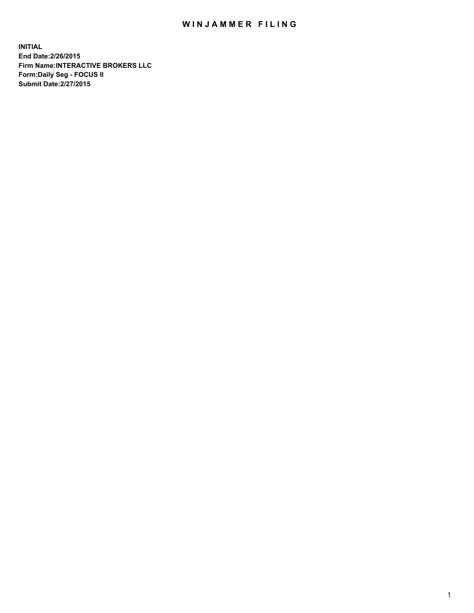## WIN JAMMER FILING

**INITIAL End Date:2/26/2015 Firm Name:INTERACTIVE BROKERS LLC Form:Daily Seg - FOCUS II Submit Date:2/27/2015**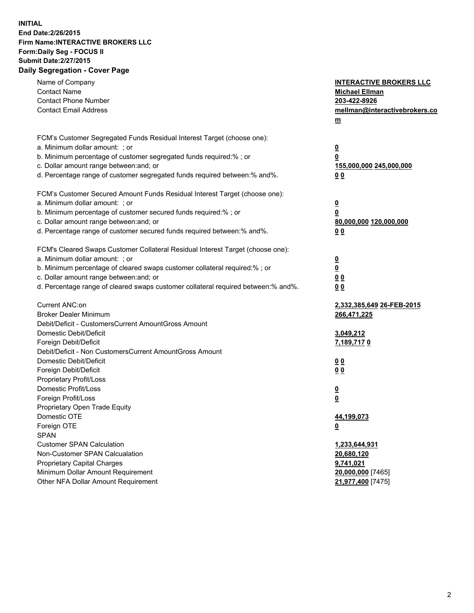## **INITIAL End Date:2/26/2015 Firm Name:INTERACTIVE BROKERS LLC Form:Daily Seg - FOCUS II Submit Date:2/27/2015 Daily Segregation - Cover Page**

| Name of Company<br><b>Contact Name</b><br><b>Contact Phone Number</b><br><b>Contact Email Address</b>                                                                                                                                                                                                                          | <b>INTERACTIVE BROKERS LLC</b><br><b>Michael Ellman</b><br>203-422-8926<br>mellman@interactivebrokers.co<br>$m$ |
|--------------------------------------------------------------------------------------------------------------------------------------------------------------------------------------------------------------------------------------------------------------------------------------------------------------------------------|-----------------------------------------------------------------------------------------------------------------|
| FCM's Customer Segregated Funds Residual Interest Target (choose one):<br>a. Minimum dollar amount: ; or<br>b. Minimum percentage of customer segregated funds required:% ; or<br>c. Dollar amount range between: and; or<br>d. Percentage range of customer segregated funds required between:% and%.                         | $\overline{\mathbf{0}}$<br>0<br>155,000,000 245,000,000<br>0 <sub>0</sub>                                       |
| FCM's Customer Secured Amount Funds Residual Interest Target (choose one):<br>a. Minimum dollar amount: ; or<br>b. Minimum percentage of customer secured funds required:% ; or<br>c. Dollar amount range between: and; or<br>d. Percentage range of customer secured funds required between:% and%.                           | $\overline{\mathbf{0}}$<br>0<br>80,000,000 120,000,000<br>0 <sub>0</sub>                                        |
| FCM's Cleared Swaps Customer Collateral Residual Interest Target (choose one):<br>a. Minimum dollar amount: ; or<br>b. Minimum percentage of cleared swaps customer collateral required:% ; or<br>c. Dollar amount range between: and; or<br>d. Percentage range of cleared swaps customer collateral required between:% and%. | $\overline{\mathbf{0}}$<br>$\underline{\mathbf{0}}$<br>0 <sub>0</sub><br>0 <sub>0</sub>                         |
| Current ANC:on<br><b>Broker Dealer Minimum</b><br>Debit/Deficit - CustomersCurrent AmountGross Amount<br>Domestic Debit/Deficit<br>Foreign Debit/Deficit                                                                                                                                                                       | 2,332,385,649 26-FEB-2015<br>266,471,225<br>3,049,212<br>7,189,7170                                             |
| Debit/Deficit - Non CustomersCurrent AmountGross Amount<br>Domestic Debit/Deficit<br>Foreign Debit/Deficit<br>Proprietary Profit/Loss<br>Domestic Profit/Loss<br>Foreign Profit/Loss                                                                                                                                           | 0 <sub>0</sub><br>0 <sub>0</sub><br>$\overline{\mathbf{0}}$<br>$\underline{\mathbf{0}}$                         |
| Proprietary Open Trade Equity<br>Domestic OTE<br>Foreign OTE<br><b>SPAN</b><br><b>Customer SPAN Calculation</b>                                                                                                                                                                                                                | <u>44,199,073</u><br><u>0</u><br>1,233,644,931                                                                  |
| Non-Customer SPAN Calcualation<br><b>Proprietary Capital Charges</b><br>Minimum Dollar Amount Requirement<br>Other NFA Dollar Amount Requirement                                                                                                                                                                               | 20,680,120<br>9,741,021<br>20,000,000 [7465]<br>21,977,400 [7475]                                               |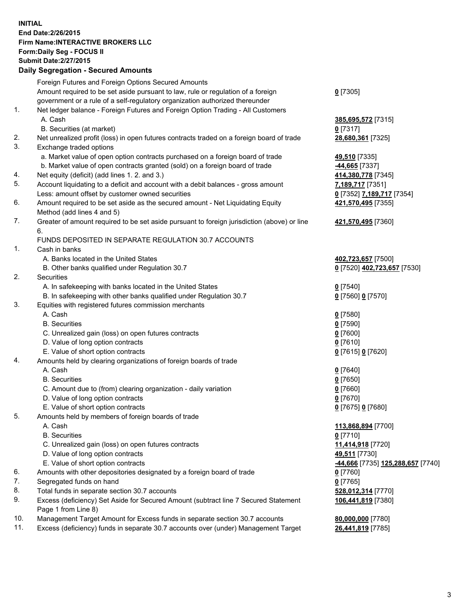## **INITIAL End Date:2/26/2015 Firm Name:INTERACTIVE BROKERS LLC Form:Daily Seg - FOCUS II Submit Date:2/27/2015 Daily Segregation - Secured Amounts**

| Dany Ocgregation - Oceanea Annoanta                                                         |                                                                                    |
|---------------------------------------------------------------------------------------------|------------------------------------------------------------------------------------|
| Foreign Futures and Foreign Options Secured Amounts                                         |                                                                                    |
| Amount required to be set aside pursuant to law, rule or regulation of a foreign            | $0$ [7305]                                                                         |
| government or a rule of a self-regulatory organization authorized thereunder                |                                                                                    |
| Net ledger balance - Foreign Futures and Foreign Option Trading - All Customers             |                                                                                    |
| A. Cash                                                                                     | 385,695,572 [7315]                                                                 |
| B. Securities (at market)                                                                   | $0$ [7317]                                                                         |
| Net unrealized profit (loss) in open futures contracts traded on a foreign board of trade   | 28,680,361 [7325]                                                                  |
| Exchange traded options                                                                     |                                                                                    |
| a. Market value of open option contracts purchased on a foreign board of trade              | 49,510 [7335]                                                                      |
| b. Market value of open contracts granted (sold) on a foreign board of trade                | -44,665 <sup>[7337]</sup>                                                          |
| Net equity (deficit) (add lines 1.2. and 3.)                                                | 414,380,778 [7345]                                                                 |
| Account liquidating to a deficit and account with a debit balances - gross amount           | 7,189,717 [7351]                                                                   |
| Less: amount offset by customer owned securities                                            | 0 [7352] 7,189,717 [7354]                                                          |
| Amount required to be set aside as the secured amount - Net Liquidating Equity              | 421,570,495 [7355]                                                                 |
| Method (add lines 4 and 5)                                                                  |                                                                                    |
| Greater of amount required to be set aside pursuant to foreign jurisdiction (above) or line | 421,570,495 [7360]                                                                 |
| 6.                                                                                          |                                                                                    |
| FUNDS DEPOSITED IN SEPARATE REGULATION 30.7 ACCOUNTS                                        |                                                                                    |
| Cash in banks                                                                               |                                                                                    |
| A. Banks located in the United States                                                       | 402,723,657 [7500]                                                                 |
| B. Other banks qualified under Regulation 30.7                                              | 0 [7520] 402,723,657 [7530]                                                        |
| Securities                                                                                  |                                                                                    |
| A. In safekeeping with banks located in the United States                                   | $0$ [7540]                                                                         |
| B. In safekeeping with other banks qualified under Regulation 30.7                          | 0 [7560] 0 [7570]                                                                  |
| Equities with registered futures commission merchants                                       |                                                                                    |
| A. Cash                                                                                     | $0$ [7580]                                                                         |
| <b>B.</b> Securities                                                                        | $0$ [7590]                                                                         |
| C. Unrealized gain (loss) on open futures contracts                                         | $0$ [7600]                                                                         |
| D. Value of long option contracts                                                           | $0$ [7610]                                                                         |
| E. Value of short option contracts                                                          | 0 [7615] 0 [7620]                                                                  |
| Amounts held by clearing organizations of foreign boards of trade                           |                                                                                    |
| A. Cash                                                                                     | $0$ [7640]                                                                         |
| <b>B.</b> Securities                                                                        | $0$ [7650]                                                                         |
| C. Amount due to (from) clearing organization - daily variation                             | $0$ [7660]                                                                         |
| D. Value of long option contracts                                                           | $0$ [7670]                                                                         |
| E. Value of short option contracts                                                          | 0 [7675] 0 [7680]                                                                  |
| Amounts held by members of foreign boards of trade                                          |                                                                                    |
| A. Cash                                                                                     | 113,868,894 [7700]                                                                 |
| <b>B.</b> Securities                                                                        | $0$ [7710]                                                                         |
| C. Unrealized gain (loss) on open futures contracts                                         | 11,414,918 [7720]                                                                  |
| D. Value of long option contracts                                                           | 49,511 [7730]                                                                      |
| E. Value of short option contracts                                                          | <mark>-44,666</mark> [7735] 125,288,657 [7740]                                     |
| Amounts with other depositories designated by a foreign board of trade                      | 0 [7760]                                                                           |
| Segregated funds on hand                                                                    | $0$ [7765]                                                                         |
| Total funds in separate section 30.7 accounts                                               | 528,012,314 [7770]                                                                 |
| Excess (deficiency) Set Aside for Secured Amount (subtract line 7 Secured Statement         | 106,441,819 [7380]                                                                 |
| Page 1 from Line 8)                                                                         |                                                                                    |
| Management Target Amount for Excess funds in separate section 30.7 accounts                 | 80,000,000 [7780]                                                                  |
|                                                                                             | 26,441,819 [7785]                                                                  |
|                                                                                             | Excess (deficiency) funds in separate 30.7 accounts over (under) Management Target |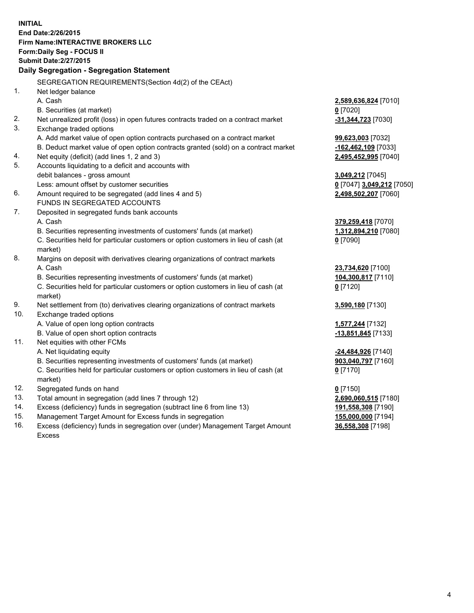**INITIAL End Date:2/26/2015 Firm Name:INTERACTIVE BROKERS LLC Form:Daily Seg - FOCUS II Submit Date:2/27/2015 Daily Segregation - Segregation Statement** SEGREGATION REQUIREMENTS(Section 4d(2) of the CEAct) 1. Net ledger balance A. Cash **2,589,636,824** [7010] B. Securities (at market) **0** [7020] 2. Net unrealized profit (loss) in open futures contracts traded on a contract market **-31,344,723** [7030] 3. Exchange traded options A. Add market value of open option contracts purchased on a contract market **99,623,003** [7032] B. Deduct market value of open option contracts granted (sold) on a contract market **-162,462,109** [7033] 4. Net equity (deficit) (add lines 1, 2 and 3) **2,495,452,995** [7040] 5. Accounts liquidating to a deficit and accounts with debit balances - gross amount **3,049,212** [7045] Less: amount offset by customer securities **0** [7047] **3,049,212** [7050] 6. Amount required to be segregated (add lines 4 and 5) **2,498,502,207** [7060] FUNDS IN SEGREGATED ACCOUNTS 7. Deposited in segregated funds bank accounts A. Cash **379,259,418** [7070] B. Securities representing investments of customers' funds (at market) **1,312,894,210** [7080] C. Securities held for particular customers or option customers in lieu of cash (at market) **0** [7090] 8. Margins on deposit with derivatives clearing organizations of contract markets A. Cash **23,734,620** [7100] B. Securities representing investments of customers' funds (at market) **104,300,817** [7110] C. Securities held for particular customers or option customers in lieu of cash (at market) **0** [7120] 9. Net settlement from (to) derivatives clearing organizations of contract markets **3,590,180** [7130] 10. Exchange traded options A. Value of open long option contracts **1,577,244** [7132] B. Value of open short option contracts **-13,851,845** [7133] 11. Net equities with other FCMs A. Net liquidating equity **-24,484,926** [7140] B. Securities representing investments of customers' funds (at market) **903,040,797** [7160] C. Securities held for particular customers or option customers in lieu of cash (at market) **0** [7170] 12. Segregated funds on hand **0** [7150] 13. Total amount in segregation (add lines 7 through 12) **2,690,060,515** [7180] 14. Excess (deficiency) funds in segregation (subtract line 6 from line 13) **191,558,308** [7190] 15. Management Target Amount for Excess funds in segregation **155,000,000** [7194]

16. Excess (deficiency) funds in segregation over (under) Management Target Amount Excess

**36,558,308** [7198]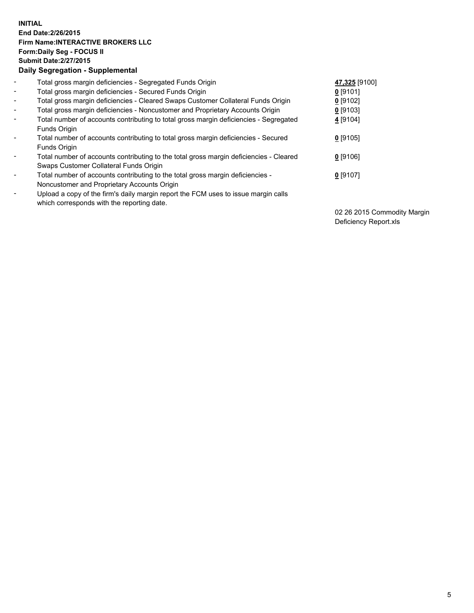## **INITIAL End Date:2/26/2015 Firm Name:INTERACTIVE BROKERS LLC Form:Daily Seg - FOCUS II Submit Date:2/27/2015 Daily Segregation - Supplemental**

| $\blacksquare$           | Total gross margin deficiencies - Segregated Funds Origin                                                                        | 47,325 [9100] |
|--------------------------|----------------------------------------------------------------------------------------------------------------------------------|---------------|
| $\blacksquare$           | Total gross margin deficiencies - Secured Funds Origin                                                                           | $0$ [9101]    |
| $\blacksquare$           | Total gross margin deficiencies - Cleared Swaps Customer Collateral Funds Origin                                                 | $0$ [9102]    |
| $\blacksquare$           | Total gross margin deficiencies - Noncustomer and Proprietary Accounts Origin                                                    | $0$ [9103]    |
| $\blacksquare$           | Total number of accounts contributing to total gross margin deficiencies - Segregated<br>Funds Origin                            | 4 [9104]      |
| $\overline{\phantom{a}}$ | Total number of accounts contributing to total gross margin deficiencies - Secured<br>Funds Origin                               | $0$ [9105]    |
| -                        | Total number of accounts contributing to the total gross margin deficiencies - Cleared<br>Swaps Customer Collateral Funds Origin | $0$ [9106]    |
| ۰                        | Total number of accounts contributing to the total gross margin deficiencies -<br>Noncustomer and Proprietary Accounts Origin    | $0$ [9107]    |
| $\overline{\phantom{a}}$ | Upload a copy of the firm's daily margin report the FCM uses to issue margin calls<br>which corresponds with the reporting date. |               |

02 26 2015 Commodity Margin Deficiency Report.xls